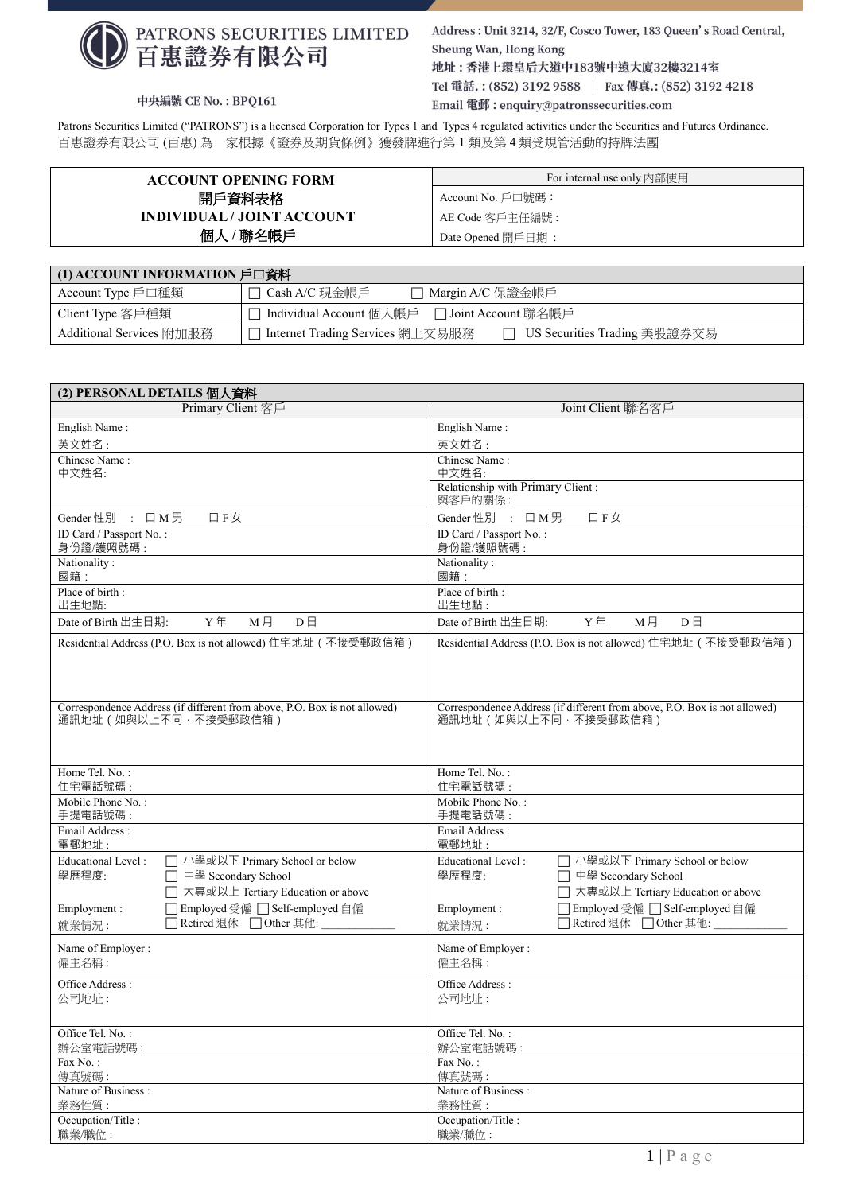

中央編號 CE No.: BPQ161

Address: Unit 3214, 32/F, Cosco Tower, 183 Queen's Road Central, Sheung Wan, Hong Kong 地址:香港上環皇后大道中183號中遠大廈32樓3214室 Tel 電話.: (852) 3192 9588 | Fax 傳真.: (852) 3192 4218 Email 電郵: enquiry@patronssecurities.com

Patrons Securities Limited ("PATRONS") is a licensed Corporation for Types 1 and Types 4 regulated activities under the Securities and Futures Ordinance. 百惠證券有限公司 (百惠) 為一家根據《證券及期貨條例》獲發牌進行第 1 類及第 4 類受規管活動的持牌法團

| <b>ACCOUNT OPENING FORM</b> | For internal use only 内部使用 |
|-----------------------------|----------------------------|
| 開戶資料表格                      | Account No. 戶口號碼:          |
| INDIVIDUAL / JOINT ACCOUNT  | AE Code 客戶主任編號 :           |
| 個人 / 聯名帳戶                   | Date Opened 開戶日期:          |

| (1) ACCOUNT INFORMATION 戶口資料 |                                                                      |  |  |
|------------------------------|----------------------------------------------------------------------|--|--|
| Account Type 戶口種類            | □ Cash A/C 現金帳戶<br>□ Margin A/C 保證金帳戶                                |  |  |
| Client Type 客戶種類             | □ Individual Account 個人帳戶 □ Joint Account 聯名帳戶                       |  |  |
| Additional Services 附加服務     | □ US Securities Trading 美股證券交易<br>□ Internet Trading Services 網上交易服務 |  |  |

| (2) PERSONAL DETAILS 個人資料                                                 |                                                                           |  |  |  |
|---------------------------------------------------------------------------|---------------------------------------------------------------------------|--|--|--|
| Primary Client 客戶                                                         | Joint Client 聯名客戶                                                         |  |  |  |
| English Name:                                                             | English Name:                                                             |  |  |  |
| 英文姓名:                                                                     | 英文姓名:                                                                     |  |  |  |
| Chinese Name:                                                             | Chinese Name:                                                             |  |  |  |
| 中文姓名:                                                                     | 中文姓名:                                                                     |  |  |  |
|                                                                           | Relationship with Primary Client :<br>與客戶的關係:                             |  |  |  |
| Gender 性別 : 口M男                                                           | Gender 性別 : 口M男                                                           |  |  |  |
| 口 F 女                                                                     | 口F女                                                                       |  |  |  |
| ID Card / Passport No.:                                                   | ID Card / Passport No.:                                                   |  |  |  |
| 身份證/護照號碼:                                                                 | 身份證/護照號碼:                                                                 |  |  |  |
| Nationality:                                                              | Nationality:                                                              |  |  |  |
| 國籍:                                                                       | 國籍:                                                                       |  |  |  |
| Place of birth:                                                           | Place of birth:                                                           |  |  |  |
| 出生地點:                                                                     | 出生地點:                                                                     |  |  |  |
| Date of Birth 出生日期:                                                       | Date of Birth 出生日期:                                                       |  |  |  |
| Y年                                                                        | Y年                                                                        |  |  |  |
| M月                                                                        | M月                                                                        |  |  |  |
| $D \Box$                                                                  | $D \Box$                                                                  |  |  |  |
| Residential Address (P.O. Box is not allowed) 住宅地址 (不接受郵政信箱)              | Residential Address (P.O. Box is not allowed) 住宅地址 (不接受郵政信箱)              |  |  |  |
| Correspondence Address (if different from above, P.O. Box is not allowed) | Correspondence Address (if different from above, P.O. Box is not allowed) |  |  |  |
| 通訊地址(如與以上不同,不接受郵政信箱)                                                      | 通訊地址 (如與以上不同,不接受郵政信箱)                                                     |  |  |  |
| Home Tel. No.:                                                            | Home Tel. No.:                                                            |  |  |  |
| 住宅電話號碼:                                                                   | 住宅電話號碼:                                                                   |  |  |  |
| Mobile Phone No.:                                                         | Mobile Phone No.:                                                         |  |  |  |
| 手提電話號碼:                                                                   | 手提電話號碼:                                                                   |  |  |  |
| Email Address:                                                            | Email Address:                                                            |  |  |  |
| 電郵地址:                                                                     | 電郵地址:                                                                     |  |  |  |
| <b>Educational Level:</b>                                                 | □ 小學或以下 Primary School or below                                           |  |  |  |
| □ 小學或以下 Primary School or below                                           | <b>Educational Level:</b>                                                 |  |  |  |
| 學歷程度:                                                                     | 學歷程度:                                                                     |  |  |  |
| □ 中學 Secondary School                                                     | □ 中學 Secondary School                                                     |  |  |  |
| □ 大專或以上 Tertiary Education or above                                       | □ 大專或以上 Tertiary Education or above                                       |  |  |  |
| □ Employed 受僱 □ Self-employed 自僱                                          | □ Employed 受僱 □ Self-employed 自僱                                          |  |  |  |
| Employment:                                                               | Employment:                                                               |  |  |  |
| □ Retired 退休 □ Other 其他:                                                  | □ Retired 退休 □ Other 其他:                                                  |  |  |  |
| 就業情況:                                                                     | 就業情況:                                                                     |  |  |  |
| Name of Employer:                                                         | Name of Employer:                                                         |  |  |  |
| 僱主名稱:                                                                     | 僱主名稱:                                                                     |  |  |  |
| Office Address:                                                           | Office Address:                                                           |  |  |  |
| 公司地址:                                                                     | 公司地址:                                                                     |  |  |  |
| Office Tel. No.:                                                          | Office Tel. No.:                                                          |  |  |  |
| 辦公室電話號碼:                                                                  | 辦公室電話號碼:                                                                  |  |  |  |
| Fax No.:                                                                  | Fax No.:                                                                  |  |  |  |
| 傳真號碼:                                                                     | 傳真號碼:                                                                     |  |  |  |
| Nature of Business:                                                       | Nature of Business:                                                       |  |  |  |
| 業務性質:                                                                     | 業務性質:                                                                     |  |  |  |
| Occupation/Title:                                                         | Occupation/Title:                                                         |  |  |  |
| 職業/職位:                                                                    | 職業/職位:                                                                    |  |  |  |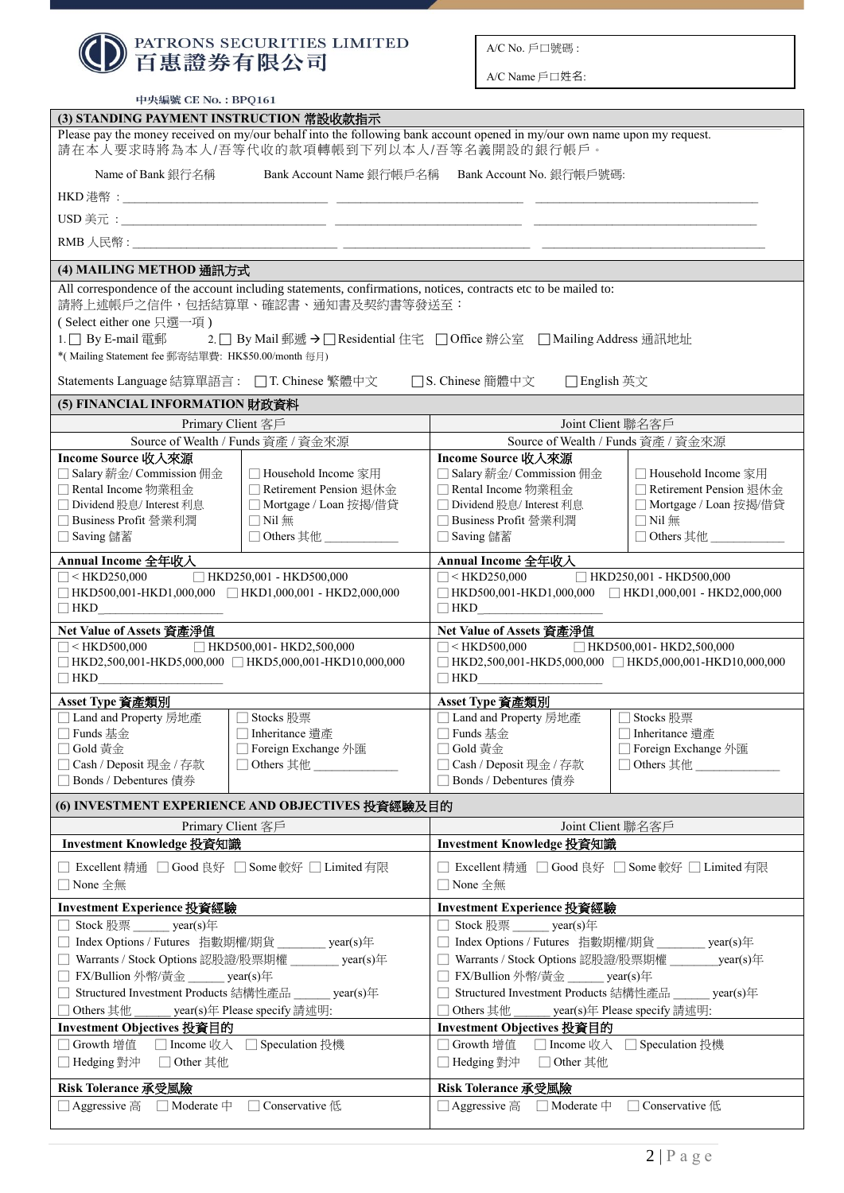|                                                                                                                                                   | PATRONS SECURITIES LIMITED                                                                                                                                            |                                                                                | A/C No. 戶口號碼:                                    |                                                                                                  |
|---------------------------------------------------------------------------------------------------------------------------------------------------|-----------------------------------------------------------------------------------------------------------------------------------------------------------------------|--------------------------------------------------------------------------------|--------------------------------------------------|--------------------------------------------------------------------------------------------------|
| 百惠證券有限公司                                                                                                                                          |                                                                                                                                                                       | A/C Name 戶口姓名:                                                                 |                                                  |                                                                                                  |
| 中央編號 CE No.: BPQ161                                                                                                                               |                                                                                                                                                                       |                                                                                |                                                  |                                                                                                  |
| (3) STANDING PAYMENT INSTRUCTION 常設收款指示                                                                                                           |                                                                                                                                                                       |                                                                                |                                                  |                                                                                                  |
|                                                                                                                                                   | Please pay the money received on my/our behalf into the following bank account opened in my/our own name upon my request.<br>請在本人要求時將為本人/吾等代收的款項轉帳到下列以本人/吾等名義開設的銀行帳戶。 |                                                                                |                                                  |                                                                                                  |
| Name of Bank 銀行名稱                                                                                                                                 | Bank Account Name 銀行帳戶名稱 Bank Account No. 銀行帳戶號碼:                                                                                                                     |                                                                                |                                                  |                                                                                                  |
|                                                                                                                                                   |                                                                                                                                                                       |                                                                                |                                                  |                                                                                                  |
|                                                                                                                                                   |                                                                                                                                                                       |                                                                                |                                                  |                                                                                                  |
|                                                                                                                                                   |                                                                                                                                                                       |                                                                                |                                                  |                                                                                                  |
| (4) MAILING METHOD 通訊方式                                                                                                                           |                                                                                                                                                                       |                                                                                |                                                  |                                                                                                  |
| (Select either one 只選一項)                                                                                                                          | All correspondence of the account including statements, confirmations, notices, contracts etc to be mailed to:<br>請將上述帳戶之信件,包括結算單、確認書、通知書及契約書等發送至:                    |                                                                                |                                                  |                                                                                                  |
| *(Mailing Statement fee 郵寄結單費: HK\$50.00/month 每月)                                                                                                | 1.   By E-mail 電郵 2.   By Mail 郵遞 →   Residential 住宅     Office 辦公室     Mailing Address 通訊地址                                                                          |                                                                                |                                                  |                                                                                                  |
| Statements Language 結算單語言: □ T. Chinese 繁體中文                                                                                                      |                                                                                                                                                                       |                                                                                | □S. Chinese 簡體中文 □ English 英文                    |                                                                                                  |
| (5) FINANCIAL INFORMATION 財政資料                                                                                                                    |                                                                                                                                                                       |                                                                                |                                                  |                                                                                                  |
| Primary Client 客戶                                                                                                                                 |                                                                                                                                                                       |                                                                                |                                                  | Joint Client 聯名客戶                                                                                |
|                                                                                                                                                   | Source of Wealth / Funds 資產 / 資金來源                                                                                                                                    |                                                                                |                                                  | Source of Wealth / Funds 資產 / 資金來源                                                               |
| Income Source 收入來源<br>□ Salary 薪金/ Commission 佣金                                                                                                  | □ Household Income 家用                                                                                                                                                 |                                                                                | Income Source 收入來源<br>□ Salary 薪金/ Commission 佣金 | □ Household Income 家用                                                                            |
| □ Rental Income 物業租金                                                                                                                              | □ Retirement Pension 退休金                                                                                                                                              |                                                                                | □ Rental Income 物業租金                             | □ Retirement Pension 退休金                                                                         |
| □ Dividend 股息/ Interest 利息                                                                                                                        | □ Mortgage / Loan 按揭/借貸                                                                                                                                               |                                                                                | □ Dividend 股息/ Interest 利息                       | □ Mortgage / Loan 按揭/借貸                                                                          |
| □ Business Profit 營業利潤                                                                                                                            | $\Box$ Nil 無                                                                                                                                                          |                                                                                | □ Business Profit 營業利潤                           | $\Box$ Nil 無                                                                                     |
| □ Saving 儲蓄                                                                                                                                       | □ Others 其他                                                                                                                                                           | □ Saving 儲蓄                                                                    |                                                  | $\Box$ Others 其他                                                                                 |
| Annual Income 全年收入                                                                                                                                |                                                                                                                                                                       |                                                                                | Annual Income 全年收入                               |                                                                                                  |
| $HKD250,001 - HKD500,000$<br>$\Box$ < HKD250,000<br>$\label{thm:1} \quad \text{HKD500,001-HKD1,000,000} \quad \text{HKD1,000,001 - HKD2,000,000}$ |                                                                                                                                                                       |                                                                                | $\Box$ < HKD250,000                              | $\Box$ HKD250,001 - HKD500,000                                                                   |
| □HKD500,001-HKD1,000,000 □HKD1,000,001 - HKD2,000,000<br>$\Box$ HKD<br>$\boxed{\phantom{1.5cm}} \text{HKD} \underline{\hspace{1.5cm}}$            |                                                                                                                                                                       |                                                                                |                                                  |                                                                                                  |
| Net Value of Assets 資產淨值                                                                                                                          |                                                                                                                                                                       |                                                                                | Net Value of Assets 資產淨值                         |                                                                                                  |
| $\Box$ < HKD500,000 $\Box$ HKD500,001 - HKD2,500,000<br>□ HKD2,500,001-HKD5,000,000 □ HKD5,000,001-HKD10,000,000<br>$\Box$ HKD                    |                                                                                                                                                                       | $\Box$ HKD                                                                     | $\Box$ < HKD500,000                              | □ HKD500,001- HKD2,500,000<br>$\Box$ HKD2,500,001-HKD5,000,000 $\Box$ HKD5,000,001-HKD10,000,000 |
| Asset Type 資產類別                                                                                                                                   |                                                                                                                                                                       |                                                                                | Asset Type 資產類別                                  |                                                                                                  |
| □ Land and Property 房地產                                                                                                                           | Stocks 股票                                                                                                                                                             |                                                                                | □ Land and Property 房地產                          | Stocks 股票                                                                                        |
| □ Funds 基金                                                                                                                                        | Inheritance 遺產                                                                                                                                                        | $\Box$ Funds 基金                                                                |                                                  | Inheritance 遺產                                                                                   |
| □ Gold 黃金<br>□ Cash / Deposit 現金 / 存款                                                                                                             | □ Foreign Exchange 外匯<br>□ Others 其他                                                                                                                                  | □ Gold 黃金                                                                      | □ Cash / Deposit 現金 / 存款                         | □ Foreign Exchange 外匯<br>□ Others 其他                                                             |
| □ Bonds / Debentures 債券                                                                                                                           |                                                                                                                                                                       |                                                                                | □ Bonds / Debentures 債券                          |                                                                                                  |
|                                                                                                                                                   | (6) INVESTMENT EXPERIENCE AND OBJECTIVES 投資經驗及目的                                                                                                                      |                                                                                |                                                  |                                                                                                  |
| Primary Client 客戶                                                                                                                                 |                                                                                                                                                                       |                                                                                |                                                  | Joint Client 聯名客戶                                                                                |
| Investment Knowledge 投資知識                                                                                                                         |                                                                                                                                                                       |                                                                                | Investment Knowledge 投資知識                        |                                                                                                  |
| □ Excellent 精通 □ Good 良好 □ Some 較好 □ Limited 有限<br>□ None 全無                                                                                      |                                                                                                                                                                       | $\Box$ None 全無                                                                 |                                                  | Excellent 精通 □ Good 良好 □ Some 較好 □ Limited 有限                                                    |
| Investment Experience 投資經驗                                                                                                                        |                                                                                                                                                                       |                                                                                | Investment Experience 投資經驗                       |                                                                                                  |
| □ Stock 股票 year(s)年                                                                                                                               |                                                                                                                                                                       |                                                                                | Stock 股票 ______ year(s)年                         |                                                                                                  |
| □ Index Options / Futures 指數期權/期貨 _______ year(s)年                                                                                                |                                                                                                                                                                       | □ Index Options / Futures 指數期權/期貨 _______ year(s)年                             |                                                  |                                                                                                  |
| □ Warrants / Stock Options 認股證/股票期權 _______ year(s)年                                                                                              |                                                                                                                                                                       |                                                                                |                                                  | □ Warrants / Stock Options 認股證/股票期權 year(s)年                                                     |
| □ FX/Bullion 外幣/黃金 ______ year(s)年                                                                                                                |                                                                                                                                                                       | □ FX/Bullion 外幣/黃金 ______ year(s)年                                             |                                                  |                                                                                                  |
| □ Structured Investment Products 結構性產品 year(s)年<br>year(s)年 Please specify 請述明:                                                                   |                                                                                                                                                                       | Structured Investment Products 結構性產品 year(s)年                                  |                                                  |                                                                                                  |
| □ Others 其他<br>Investment Objectives 投資目的                                                                                                         |                                                                                                                                                                       | Others 其他<br>______ year(s)年 Please specify 請述明:<br>Investment Objectives 投資目的 |                                                  |                                                                                                  |
| □ Growth 增值                                                                                                                                       | □ Income 收入 □ Speculation 投機                                                                                                                                          | □ Growth 增值                                                                    |                                                  | □ Income 收入 □ Speculation 投機                                                                     |
| □ Hedging 對沖<br>□ Other 其他                                                                                                                        |                                                                                                                                                                       | □ Hedging 對沖                                                                   | □ Other 其他                                       |                                                                                                  |
| Risk Tolerance 承受風險                                                                                                                               |                                                                                                                                                                       |                                                                                | Risk Tolerance 承受風險                              |                                                                                                  |
| □ Aggressive 高<br>$\Box$ Moderate $\Box$                                                                                                          | Conservative 低                                                                                                                                                        |                                                                                | □ Aggressive 高<br>$\Box$ Moderate $\mp$          | $\Box$ Conservative $\oint$                                                                      |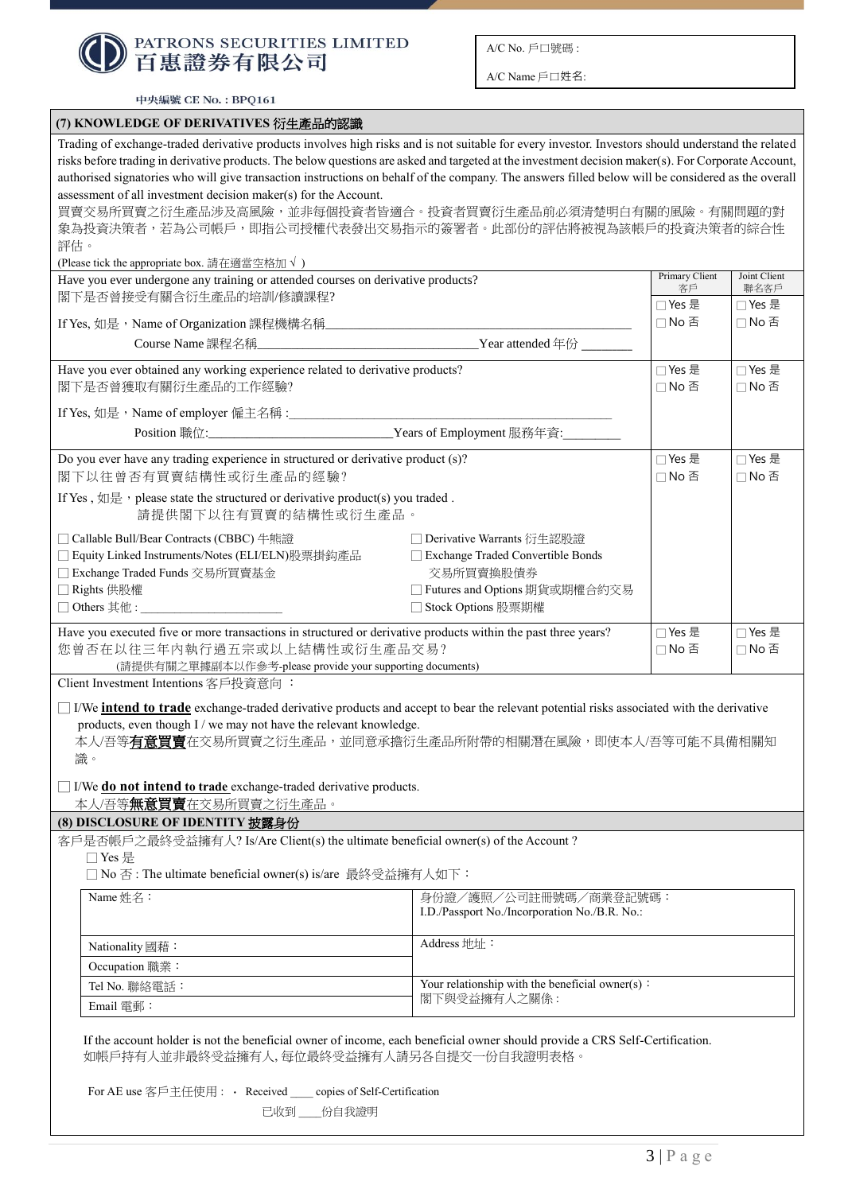

A/C Name 戶口姓名:

中央編號 CE No.: BPQ161

| (7) KNOWLEDGE OF DERIVATIVES 衍生產品的認識                                                                                                                                                                                                                                                                                                                                                                                                                            |                                                         |                 |                 |  |
|-----------------------------------------------------------------------------------------------------------------------------------------------------------------------------------------------------------------------------------------------------------------------------------------------------------------------------------------------------------------------------------------------------------------------------------------------------------------|---------------------------------------------------------|-----------------|-----------------|--|
| Trading of exchange-traded derivative products involves high risks and is not suitable for every investor. Investors should understand the related<br>risks before trading in derivative products. The below questions are asked and targeted at the investment decision maker(s). For Corporate Account,<br>authorised signatories who will give transaction instructions on behalf of the company. The answers filled below will be considered as the overall |                                                         |                 |                 |  |
| assessment of all investment decision maker(s) for the Account.                                                                                                                                                                                                                                                                                                                                                                                                 |                                                         |                 |                 |  |
| 買賣交易所買賣之衍生產品涉及高風險,並非每個投資者皆適合。投資者買賣衍生產品前必須清楚明白有關的風險。有關問題的對                                                                                                                                                                                                                                                                                                                                                                                                       |                                                         |                 |                 |  |
| 象為投資決策者,若為公司帳戶,即指公司授權代表發出交易指示的簽署者。此部份的評估將被視為該帳戶的投資決策者的綜合性                                                                                                                                                                                                                                                                                                                                                                                                       |                                                         |                 |                 |  |
| 評估。<br>(Please tick the appropriate box. 請在適當空格加√)                                                                                                                                                                                                                                                                                                                                                                                                              |                                                         |                 |                 |  |
| Have you ever undergone any training or attended courses on derivative products?                                                                                                                                                                                                                                                                                                                                                                                |                                                         | Primary Client  | Joint Client    |  |
| 閣下是否曾接受有關含衍生產品的培訓/修讀課程?                                                                                                                                                                                                                                                                                                                                                                                                                                         |                                                         | 客戶              | 聯名客戶            |  |
| If Yes, 如是, Name of Organization 課程機構名稱                                                                                                                                                                                                                                                                                                                                                                                                                         |                                                         | □ Yes 是<br>□No否 | □ Yes 是<br>□No否 |  |
|                                                                                                                                                                                                                                                                                                                                                                                                                                                                 | the control of the control of the control of            |                 |                 |  |
|                                                                                                                                                                                                                                                                                                                                                                                                                                                                 |                                                         |                 |                 |  |
| Have you ever obtained any working experience related to derivative products?                                                                                                                                                                                                                                                                                                                                                                                   |                                                         | □ Yes 是         | □ Yes 是         |  |
| 閣下是否曾獲取有關衍生產品的工作經驗?                                                                                                                                                                                                                                                                                                                                                                                                                                             |                                                         | □No否            | □No否            |  |
| If Yes, 如是, Name of employer 僱主名稱:                                                                                                                                                                                                                                                                                                                                                                                                                              |                                                         |                 |                 |  |
|                                                                                                                                                                                                                                                                                                                                                                                                                                                                 | _Years of Employment 服務年資:                              |                 |                 |  |
| Do you ever have any trading experience in structured or derivative product (s)?                                                                                                                                                                                                                                                                                                                                                                                |                                                         | □ Yes 是         | □ Yes 是         |  |
| 閣下以往曾否有買賣結構性或衍生產品的經驗?                                                                                                                                                                                                                                                                                                                                                                                                                                           |                                                         | □No否            | □No否            |  |
| If Yes, $\sin \frac{\pi x}{2}$ , please state the structured or derivative product(s) you traded.                                                                                                                                                                                                                                                                                                                                                               |                                                         |                 |                 |  |
| 請提供閣下以往有買賣的結構性或衍生產品。                                                                                                                                                                                                                                                                                                                                                                                                                                            |                                                         |                 |                 |  |
| □ Callable Bull/Bear Contracts (CBBC) 牛熊證                                                                                                                                                                                                                                                                                                                                                                                                                       | □ Derivative Warrants 衍生認股證                             |                 |                 |  |
| □ Equity Linked Instruments/Notes (ELI/ELN)股票掛鈎產品                                                                                                                                                                                                                                                                                                                                                                                                               | Exchange Traded Convertible Bonds                       |                 |                 |  |
| □ Exchange Traded Funds 交易所買賣基金                                                                                                                                                                                                                                                                                                                                                                                                                                 | 交易所買賣換股債券                                               |                 |                 |  |
| □ Rights 供股權<br>□ Others 其他:                                                                                                                                                                                                                                                                                                                                                                                                                                    | □ Futures and Options 期貨或期權合約交易<br>□ Stock Options 股票期權 |                 |                 |  |
|                                                                                                                                                                                                                                                                                                                                                                                                                                                                 |                                                         |                 |                 |  |
| Have you executed five or more transactions in structured or derivative products within the past three years?<br>您曾否在以往三年内執行過五宗或以上結構性或衍生產品交易?<br>(請提供有關之單據副本以作參考-please provide your supporting documents)                                                                                                                                                                                                                                                      |                                                         | □ Yes 是<br>□No否 | □ Yes 是<br>□No否 |  |
| Client Investment Intentions 客戶投資意向:                                                                                                                                                                                                                                                                                                                                                                                                                            |                                                         |                 |                 |  |
| I/We <b>intend to trade</b> exchange-traded derivative products and accept to bear the relevant potential risks associated with the derivative<br>products, even though I / we may not have the relevant knowledge.<br>本人/吾等 <mark>有意買賣</mark> 在交易所買賣之衍生產品,並同意承擔衍生產品所附帶的相關潛在風險,即使本人/吾等可能不具備相關知<br>識。                                                                                                                                                            |                                                         |                 |                 |  |
| I/We do not intend to trade exchange-traded derivative products.<br>本人/吾等 <u><b>無意買賣</b>在交易所買賣之衍生產品</u> 。                                                                                                                                                                                                                                                                                                                                                       |                                                         |                 |                 |  |
| (8) DISCLOSURE OF IDENTITY 披露身份                                                                                                                                                                                                                                                                                                                                                                                                                                 |                                                         |                 |                 |  |
| 客戶是否帳戶之最終受益擁有人? Is/Are Client(s) the ultimate beneficial owner(s) of the Account?                                                                                                                                                                                                                                                                                                                                                                               |                                                         |                 |                 |  |
| □ Yes 是                                                                                                                                                                                                                                                                                                                                                                                                                                                         |                                                         |                 |                 |  |
| □ No 否: The ultimate beneficial owner(s) is/are 最終受益擁有人如下:                                                                                                                                                                                                                                                                                                                                                                                                      |                                                         |                 |                 |  |
| Name 姓名:                                                                                                                                                                                                                                                                                                                                                                                                                                                        | 身份證/護照/公司註冊號碼/商業登記號碼:                                   |                 |                 |  |
|                                                                                                                                                                                                                                                                                                                                                                                                                                                                 | I.D./Passport No./Incorporation No./B.R. No.:           |                 |                 |  |
| Nationality 國藉:                                                                                                                                                                                                                                                                                                                                                                                                                                                 | Address 地址:                                             |                 |                 |  |
| Occupation 職業:                                                                                                                                                                                                                                                                                                                                                                                                                                                  |                                                         |                 |                 |  |
| Your relationship with the beneficial owner(s):<br>Tel No. 聯絡電話:                                                                                                                                                                                                                                                                                                                                                                                                |                                                         |                 |                 |  |
| Email 電郵:                                                                                                                                                                                                                                                                                                                                                                                                                                                       | 閣下與受益擁有人之關係:                                            |                 |                 |  |
| If the account holder is not the beneficial owner of income, each beneficial owner should provide a CRS Self-Certification.<br>如帳戶持有人並非最終受益擁有人,每位最終受益擁有人請另各自提交一份自我證明表格。                                                                                                                                                                                                                                                                                         |                                                         |                 |                 |  |
| For AE use 客戶主任使用: · Received copies of Self-Certification<br>已收到____份自我證明                                                                                                                                                                                                                                                                                                                                                                                      |                                                         |                 |                 |  |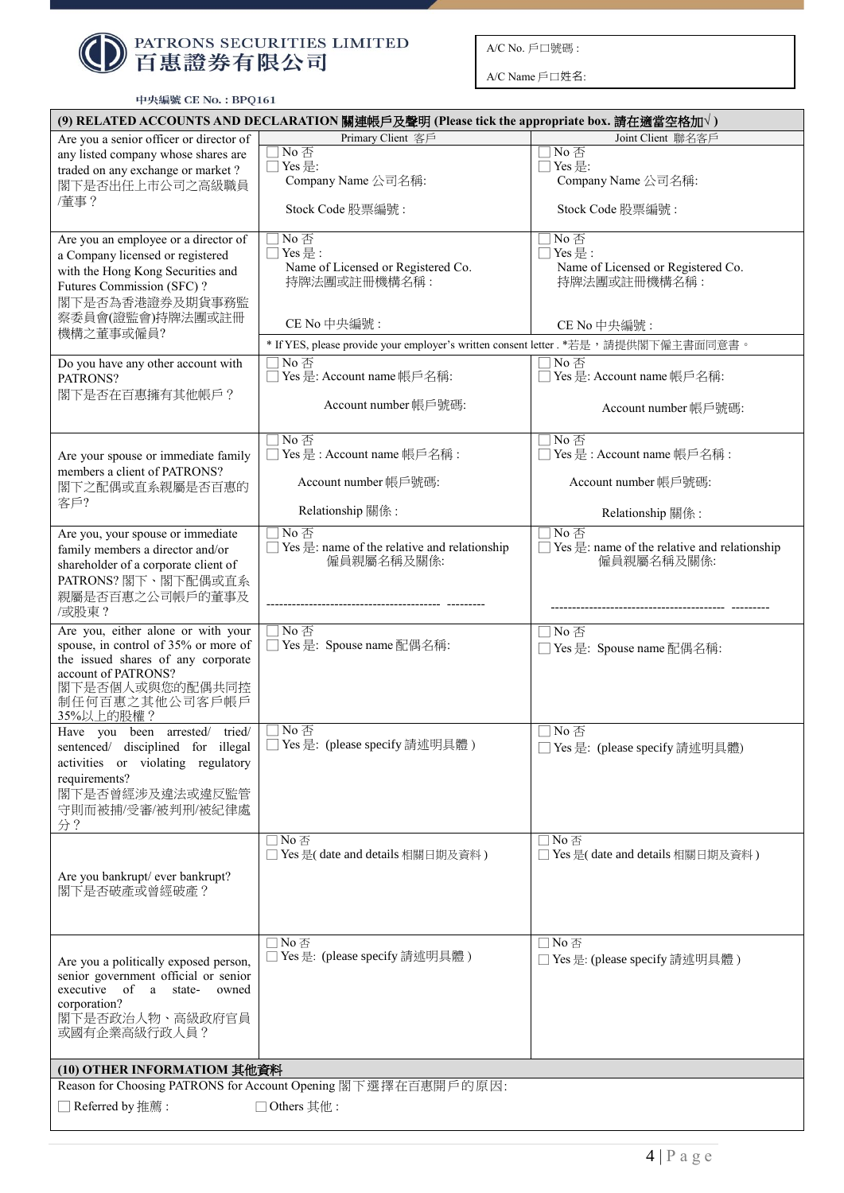

A/C Name 戶口姓名:

| 中央編號 CE No.: BPQ161 |  |  |  |  |
|---------------------|--|--|--|--|
|---------------------|--|--|--|--|

| (9) RELATED ACCOUNTS AND DECLARATION 關連帳戶及聲明 (Please tick the appropriate box. 請在適當空格加√) |                                                                                              |                                                                                                            |  |  |
|------------------------------------------------------------------------------------------|----------------------------------------------------------------------------------------------|------------------------------------------------------------------------------------------------------------|--|--|
| Are you a senior officer or director of                                                  | Primary Client 客戶                                                                            | Joint Client 聯名客戶                                                                                          |  |  |
| any listed company whose shares are                                                      | No 否<br>Yes 是:                                                                               | $\Box$ No $\overline{\triangle}$<br>□ Yes 是:                                                               |  |  |
| traded on any exchange or market?<br>閣下是否出任上市公司之高級職員                                     | Company Name 公司名稱:                                                                           | Company Name 公司名稱:                                                                                         |  |  |
| /董事?                                                                                     | Stock Code 股票編號:                                                                             | Stock Code 股票編號:                                                                                           |  |  |
|                                                                                          | No 否                                                                                         | No 否                                                                                                       |  |  |
| Are you an employee or a director of<br>a Company licensed or registered                 | $Yes \n  E :$                                                                                | $\Box$ Yes 是:                                                                                              |  |  |
| with the Hong Kong Securities and                                                        | Name of Licensed or Registered Co.                                                           | Name of Licensed or Registered Co.                                                                         |  |  |
| Futures Commission (SFC)?                                                                | 持牌法團或註冊機構名稱:                                                                                 | 持牌法團或註冊機構名稱:                                                                                               |  |  |
| 閣下是否為香港證券及期貨事務監<br>察委員會(證監會)持牌法團或註冊                                                      |                                                                                              |                                                                                                            |  |  |
| 機構之董事或僱員?                                                                                | CE No 中央編號:                                                                                  | CE No 中央編號:                                                                                                |  |  |
| Do you have any other account with                                                       | * If YES, please provide your employer's written consent letter . *若是, 請提供閣下僱主書面同意書。<br>No 否 | $\Box$ No $\overline{\triangle}$                                                                           |  |  |
| PATRONS?                                                                                 | Yes 是: Account name 帳戶名稱:                                                                    | □ Yes 是: Account name 帳戶名稱:                                                                                |  |  |
| 閣下是否在百惠擁有其他帳戶?                                                                           | Account number 帳戶號碼:                                                                         | Account number 帳戶號碼:                                                                                       |  |  |
|                                                                                          | No 否                                                                                         | ヿNo 否                                                                                                      |  |  |
| Are your spouse or immediate family<br>members a client of PATRONS?                      | Yes 是: Account name 帳戶名稱:                                                                    | □ Yes 是: Account name 帳戶名稱:                                                                                |  |  |
| 閣下之配偶或直系親屬是否百惠的                                                                          | Account number 帳戶號碼:                                                                         | Account number 帳戶號碼:                                                                                       |  |  |
| 客戶?                                                                                      | Relationship 關係:                                                                             | Relationship 關係:                                                                                           |  |  |
| Are you, your spouse or immediate                                                        | No 否<br>Yes 是: name of the relative and relationship                                         | $\overline{\exists}$ No $\overline{\oplus}$<br>$\Box$ Yes $\equiv$ : name of the relative and relationship |  |  |
| family members a director and/or<br>shareholder of a corporate client of                 | 僱員親屬名稱及關係:                                                                                   | 僱員親屬名稱及關係:                                                                                                 |  |  |
| PATRONS? 閣下、閣下配偶或直系                                                                      |                                                                                              |                                                                                                            |  |  |
| 親屬是否百惠之公司帳戶的董事及                                                                          |                                                                                              |                                                                                                            |  |  |
| /或股東?                                                                                    |                                                                                              |                                                                                                            |  |  |
| Are you, either alone or with your                                                       | No 否                                                                                         | □No否                                                                                                       |  |  |
| spouse, in control of 35% or more of<br>the issued shares of any corporate               | Yes 是: Spouse name 配偶名稱:                                                                     | □ Yes 是: Spouse name 配偶名稱:                                                                                 |  |  |
| account of PATRONS?                                                                      |                                                                                              |                                                                                                            |  |  |
| 閣下是否個人或與您的配偶共同控                                                                          |                                                                                              |                                                                                                            |  |  |
| 制任何百惠之其他公司客戶帳戶<br>35%以上的股權?                                                              |                                                                                              |                                                                                                            |  |  |
| Have you been arrested/ tried/                                                           | No 否                                                                                         | $\Box$ No $\overline{\triangle}$                                                                           |  |  |
| sentenced/ disciplined for illegal                                                       | □ Yes 是: (please specify 請述明具體)                                                              | ] Yes 是: (please specify 請述明具體)                                                                            |  |  |
| activities or violating regulatory<br>requirements?                                      |                                                                                              |                                                                                                            |  |  |
| 閣下是否曾經涉及違法或違反監管                                                                          |                                                                                              |                                                                                                            |  |  |
| 守則而被捕/受審/被判刑/被紀律處                                                                        |                                                                                              |                                                                                                            |  |  |
| 分?                                                                                       |                                                                                              |                                                                                                            |  |  |
|                                                                                          | $\Box$ No 否<br>□ Yes 是(date and details 相關日期及資料)                                             | $\Box$ No $\overline{\Delta}$<br>□ Yes 是(date and details 相關日期及資料)                                         |  |  |
|                                                                                          |                                                                                              |                                                                                                            |  |  |
| Are you bankrupt/ ever bankrupt?<br>閣下是否破產或曾經破產?                                         |                                                                                              |                                                                                                            |  |  |
|                                                                                          |                                                                                              |                                                                                                            |  |  |
|                                                                                          |                                                                                              |                                                                                                            |  |  |
|                                                                                          | $\Box$ No 否<br>□ Yes 是: (please specify 請述明具體)                                               | $\Box$ No $\overline{\Delta}$<br>□ Yes 是: (please specify 請述明具體)                                           |  |  |
| Are you a politically exposed person,<br>senior government official or senior            |                                                                                              |                                                                                                            |  |  |
| executive of a state-<br>owned                                                           |                                                                                              |                                                                                                            |  |  |
| corporation?                                                                             |                                                                                              |                                                                                                            |  |  |
| 閣下是否政治人物、高級政府官員<br>或國有企業高級行政人員?                                                          |                                                                                              |                                                                                                            |  |  |
|                                                                                          |                                                                                              |                                                                                                            |  |  |
| (10) OTHER INFORMATIOM 其他資料                                                              | Reason for Choosing PATRONS for Account Opening 閣下選擇在百惠開戶的原因:                                |                                                                                                            |  |  |
| Referred by 推薦:                                                                          | □ Others 其他:                                                                                 |                                                                                                            |  |  |
|                                                                                          |                                                                                              |                                                                                                            |  |  |
|                                                                                          |                                                                                              |                                                                                                            |  |  |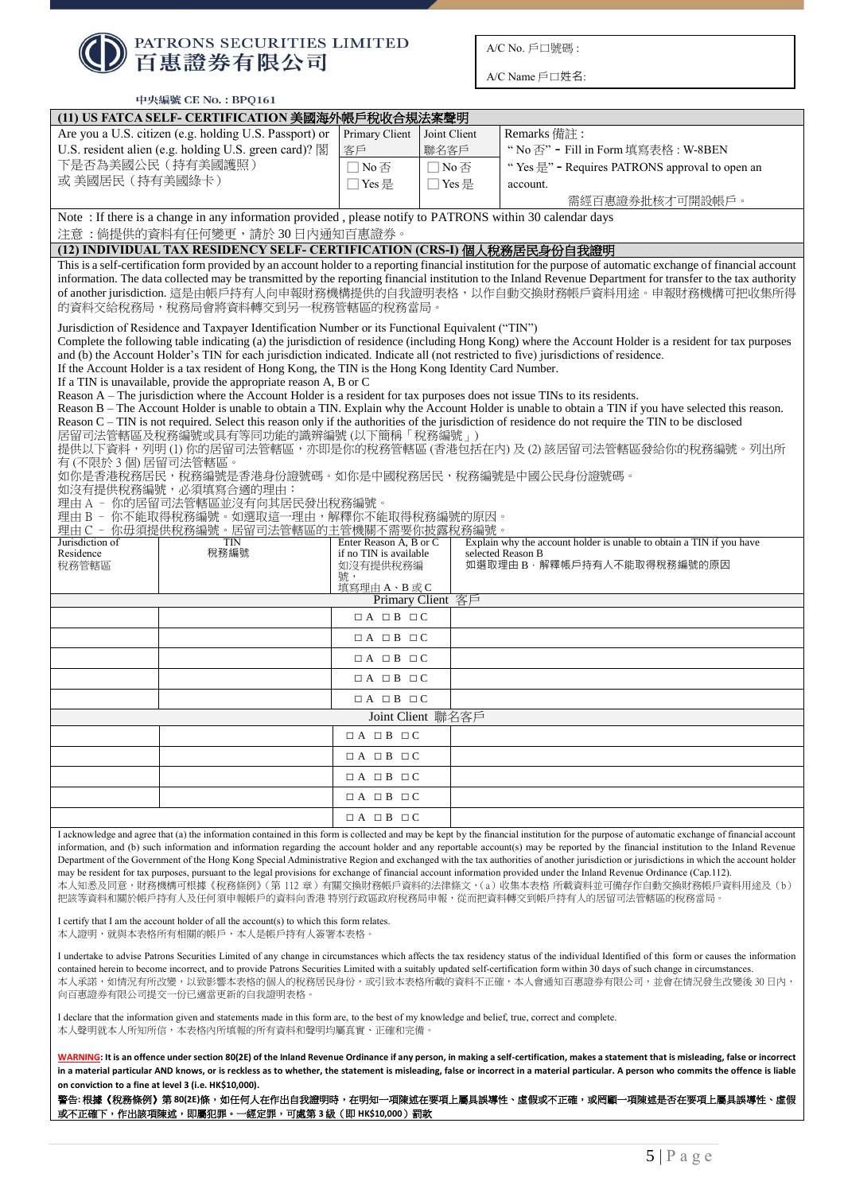| <b>● PATRONS SECURITIES LIMITED</b> |
|-------------------------------------|

A/C Name 戶口姓名:

|                                                                                                                                                                                 | 中央編號 CE No.: BPQ161                                                                                                                                                                      |                                    |                   |                                                                                                                                                                                                                                                                                                                                                                                     |
|---------------------------------------------------------------------------------------------------------------------------------------------------------------------------------|------------------------------------------------------------------------------------------------------------------------------------------------------------------------------------------|------------------------------------|-------------------|-------------------------------------------------------------------------------------------------------------------------------------------------------------------------------------------------------------------------------------------------------------------------------------------------------------------------------------------------------------------------------------|
|                                                                                                                                                                                 | (11) US FATCA SELF- CERTIFICATION 美國海外帳戶稅收合規法案聲明                                                                                                                                         |                                    |                   |                                                                                                                                                                                                                                                                                                                                                                                     |
|                                                                                                                                                                                 | Are you a U.S. citizen (e.g. holding U.S. Passport) or                                                                                                                                   | Primary Client                     | Joint Client      | Remarks 備註:                                                                                                                                                                                                                                                                                                                                                                         |
| U.S. resident alien (e.g. holding U.S. green card)? 閣                                                                                                                           |                                                                                                                                                                                          | 客戶                                 | 聯名客戶              | "No 否" - Fill in Form 填寫表格: W-8BEN                                                                                                                                                                                                                                                                                                                                                  |
| 下是否為美國公民 (持有美國護照)                                                                                                                                                               |                                                                                                                                                                                          | □No否                               | □No否              | "Yes $\frac{\boxplus}{\boxplus}$ " - Requires PATRONS approval to open an                                                                                                                                                                                                                                                                                                           |
| 或 美國居民 (持有美國綠卡)                                                                                                                                                                 |                                                                                                                                                                                          | □ Yes 是                            | □Yes是             | account.                                                                                                                                                                                                                                                                                                                                                                            |
|                                                                                                                                                                                 |                                                                                                                                                                                          |                                    |                   | 需經百惠證券批核才可開設帳戶。                                                                                                                                                                                                                                                                                                                                                                     |
|                                                                                                                                                                                 | Note: If there is a change in any information provided, please notify to PATRONS within 30 calendar days<br>注意:倘提供的資料有任何變更,請於30日內通知百惠證券。                                                 |                                    |                   |                                                                                                                                                                                                                                                                                                                                                                                     |
|                                                                                                                                                                                 | (12) INDIVIDUAL TAX RESIDENCY SELF- CERTIFICATION (CRS-I) 個人稅務居民身份自我證明                                                                                                                   |                                    |                   |                                                                                                                                                                                                                                                                                                                                                                                     |
|                                                                                                                                                                                 |                                                                                                                                                                                          |                                    |                   | This is a self-certification form provided by an account holder to a reporting financial institution for the purpose of automatic exchange of financial account                                                                                                                                                                                                                     |
|                                                                                                                                                                                 | 的資料交給稅務局,稅務局會將資料轉交到另一稅務管轄區的稅務當局。                                                                                                                                                         |                                    |                   | information. The data collected may be transmitted by the reporting financial institution to the Inland Revenue Department for transfer to the tax authority<br>of another jurisdiction. 這是由帳戶持有人向申報財務機構提供的自我證明表格,以作自動交換財務帳戶資料用途。申報財務機構可把收集所得                                                                                                                                       |
|                                                                                                                                                                                 | Jurisdiction of Residence and Taxpayer Identification Number or its Functional Equivalent ("TIN")                                                                                        |                                    |                   |                                                                                                                                                                                                                                                                                                                                                                                     |
|                                                                                                                                                                                 | and (b) the Account Holder's TIN for each jurisdiction indicated. Indicate all (not restricted to five) jurisdictions of residence.                                                      |                                    |                   | Complete the following table indicating (a) the jurisdiction of residence (including Hong Kong) where the Account Holder is a resident for tax purposes                                                                                                                                                                                                                             |
|                                                                                                                                                                                 | If the Account Holder is a tax resident of Hong Kong, the TIN is the Hong Kong Identity Card Number.                                                                                     |                                    |                   |                                                                                                                                                                                                                                                                                                                                                                                     |
|                                                                                                                                                                                 | If a TIN is unavailable, provide the appropriate reason A, B or C                                                                                                                        |                                    |                   |                                                                                                                                                                                                                                                                                                                                                                                     |
|                                                                                                                                                                                 | Reason A - The jurisdiction where the Account Holder is a resident for tax purposes does not issue TINs to its residents.                                                                |                                    |                   |                                                                                                                                                                                                                                                                                                                                                                                     |
|                                                                                                                                                                                 |                                                                                                                                                                                          |                                    |                   | Reason B - The Account Holder is unable to obtain a TIN. Explain why the Account Holder is unable to obtain a TIN if you have selected this reason.<br>Reason C – TIN is not required. Select this reason only if the authorities of the jurisdiction of residence do not require the TIN to be disclosed                                                                           |
|                                                                                                                                                                                 | 居留司法管轄區及稅務編號或具有等同功能的識辨編號(以下簡稱「稅務編號」)                                                                                                                                                     |                                    |                   |                                                                                                                                                                                                                                                                                                                                                                                     |
|                                                                                                                                                                                 |                                                                                                                                                                                          |                                    |                   | 提供以下資料,列明(1)你的居留司法管轄區,亦即是你的稅務管轄區(香港包括在內)及(2)該居留司法管轄區發給你的稅務編號。列出所                                                                                                                                                                                                                                                                                                                    |
| 有 (不限於 3 個) 居留司法管轄區。                                                                                                                                                            | 如你是香港稅務居民,稅務編號是香港身份證號碼。如你是中國稅務居民,稅務編號是中國公民身份證號碼。                                                                                                                                         |                                    |                   |                                                                                                                                                                                                                                                                                                                                                                                     |
|                                                                                                                                                                                 | 如沒有提供稅務編號,必須填寫合適的理由:                                                                                                                                                                     |                                    |                   |                                                                                                                                                                                                                                                                                                                                                                                     |
|                                                                                                                                                                                 | 理由 A ‐ 你的居留司法管轄區並沒有向其居民發出稅務編號。                                                                                                                                                           |                                    |                   |                                                                                                                                                                                                                                                                                                                                                                                     |
|                                                                                                                                                                                 | 理由 B - 你不能取得稅務編號。如選取這一理由,解釋你不能取得稅務編號的原因。<br>理由 C - 你毋須提供稅務編號。居留司法管轄區的主管機關不需要你披露稅務編號。                                                                                                     |                                    |                   |                                                                                                                                                                                                                                                                                                                                                                                     |
| Jurisdiction of                                                                                                                                                                 | <b>TIN</b>                                                                                                                                                                               | Enter Reason A, B or C             |                   | Explain why the account holder is unable to obtain a TIN if you have                                                                                                                                                                                                                                                                                                                |
| Residence<br>稅務管轄區                                                                                                                                                              | 稅務編號                                                                                                                                                                                     | if no TIN is available<br>如沒有提供稅務編 |                   | selected Reason B<br>如選取理由B·解釋帳戶持有人不能取得稅務編號的原因                                                                                                                                                                                                                                                                                                                                      |
|                                                                                                                                                                                 |                                                                                                                                                                                          | 號,                                 |                   |                                                                                                                                                                                                                                                                                                                                                                                     |
|                                                                                                                                                                                 |                                                                                                                                                                                          | 填寫理由A、B或C                          | Primary Client 客戶 |                                                                                                                                                                                                                                                                                                                                                                                     |
|                                                                                                                                                                                 |                                                                                                                                                                                          | $\Box A \Box B \Box C$             |                   |                                                                                                                                                                                                                                                                                                                                                                                     |
|                                                                                                                                                                                 |                                                                                                                                                                                          | $\Box A$ $\Box B$ $\Box C$         |                   |                                                                                                                                                                                                                                                                                                                                                                                     |
|                                                                                                                                                                                 |                                                                                                                                                                                          | $\Box A$ $\Box B$ $\Box C$         |                   |                                                                                                                                                                                                                                                                                                                                                                                     |
|                                                                                                                                                                                 |                                                                                                                                                                                          | $\Box A$ $\Box B$ $\Box C$         |                   |                                                                                                                                                                                                                                                                                                                                                                                     |
|                                                                                                                                                                                 |                                                                                                                                                                                          | $\Box A$ $\Box B$ $\Box C$         |                   |                                                                                                                                                                                                                                                                                                                                                                                     |
|                                                                                                                                                                                 |                                                                                                                                                                                          |                                    | Joint Client 聯名客戶 |                                                                                                                                                                                                                                                                                                                                                                                     |
|                                                                                                                                                                                 |                                                                                                                                                                                          | $\Box A$ $\Box B$ $\Box C$         |                   |                                                                                                                                                                                                                                                                                                                                                                                     |
|                                                                                                                                                                                 |                                                                                                                                                                                          | $\Box A \Box B \Box C$             |                   |                                                                                                                                                                                                                                                                                                                                                                                     |
|                                                                                                                                                                                 |                                                                                                                                                                                          | $\Box A \Box B \Box C$             |                   |                                                                                                                                                                                                                                                                                                                                                                                     |
|                                                                                                                                                                                 |                                                                                                                                                                                          |                                    |                   |                                                                                                                                                                                                                                                                                                                                                                                     |
|                                                                                                                                                                                 |                                                                                                                                                                                          | $\Box A \Box B \Box C$             |                   |                                                                                                                                                                                                                                                                                                                                                                                     |
|                                                                                                                                                                                 |                                                                                                                                                                                          | $\Box A \Box B \Box C$             |                   |                                                                                                                                                                                                                                                                                                                                                                                     |
|                                                                                                                                                                                 |                                                                                                                                                                                          |                                    |                   | I acknowledge and agree that (a) the information contained in this form is collected and may be kept by the financial institution for the purpose of automatic exchange of financial account<br>information, and (b) such information and information regarding the account holder and any reportable account(s) may be reported by the financial institution to the Inland Revenue |
|                                                                                                                                                                                 |                                                                                                                                                                                          |                                    |                   | Department of the Government of the Hong Kong Special Administrative Region and exchanged with the tax authorities of another jurisdiction or jurisdictions in which the account holder                                                                                                                                                                                             |
|                                                                                                                                                                                 |                                                                                                                                                                                          |                                    |                   | may be resident for tax purposes, pursuant to the legal provisions for exchange of financial account information provided under the Inland Revenue Ordinance (Cap.112).<br>本人知悉及同意,財務機構可根據《稅務條例》(第 112 章)有關交換財務帳戶資料的法律條文,(a) 收集本表格 所載資料並可備存作自動交換財務帳戶資料用途及 (b)                                                                                                                       |
|                                                                                                                                                                                 |                                                                                                                                                                                          |                                    |                   | 把該等資料和關於帳戶持有人及任何須申報帳戶的資料向香港 特別行政區政府稅務局申報,從而把資料轉交到帳戶持有人的居留司法管轄區的稅務當局。                                                                                                                                                                                                                                                                                                                |
|                                                                                                                                                                                 |                                                                                                                                                                                          |                                    |                   |                                                                                                                                                                                                                                                                                                                                                                                     |
| I certify that I am the account holder of all the account(s) to which this form relates.<br>本人證明,就與本表格所有相關的帳戶,本人是帳戶持有人簽署本表格。                                                    |                                                                                                                                                                                          |                                    |                   |                                                                                                                                                                                                                                                                                                                                                                                     |
|                                                                                                                                                                                 |                                                                                                                                                                                          |                                    |                   | I undertake to advise Patrons Securities Limited of any change in circumstances which affects the tax residency status of the individual Identified of this form or causes the information                                                                                                                                                                                          |
| contained herein to become incorrect, and to provide Patrons Securities Limited with a suitably updated self-certification form within 30 days of such change in circumstances. |                                                                                                                                                                                          |                                    |                   |                                                                                                                                                                                                                                                                                                                                                                                     |
|                                                                                                                                                                                 |                                                                                                                                                                                          |                                    |                   | 本人承諾,如情況有所改變,以致影響本表格的個人的稅務居民身份,或引致本表格所載的資料不正確,本人會通知百惠證券有限公司,並會在情況發生改變後 30 日內,                                                                                                                                                                                                                                                                                                       |
|                                                                                                                                                                                 | 向百惠證券有限公司提交一份已適當更新的自我證明表格。                                                                                                                                                               |                                    |                   |                                                                                                                                                                                                                                                                                                                                                                                     |
|                                                                                                                                                                                 | I declare that the information given and statements made in this form are, to the best of my knowledge and belief, true, correct and complete.<br>本人聲明就本人所知所信,本表格內所填報的所有資料和聲明均屬真實、正確和完備。 |                                    |                   |                                                                                                                                                                                                                                                                                                                                                                                     |

**WARNING: It is an offence under section 80(2E) of the Inland Revenue Ordinance if any person, in making a self-certification, makes a statement that is misleading, false or incorrect in a material particular AND knows, or is reckless as to whether, the statement is misleading, false or incorrect in a material particular. A person who commits the offence is liable on conviction to a fine at level 3 (i.e. HK\$10,000).**

警告**:** 根據《稅務條例》第 **80(2E)**條,如任何人在作出自我證明時,在明知一項陳述在要項上屬具誤導性、虛假或不正確,或罔顧一項陳述是否在要項上屬具誤導性、虛假 或不正確下,作出該項陳述,即屬犯罪。一經定罪,可處第 **3** 級(即 **HK\$10,000**)罰款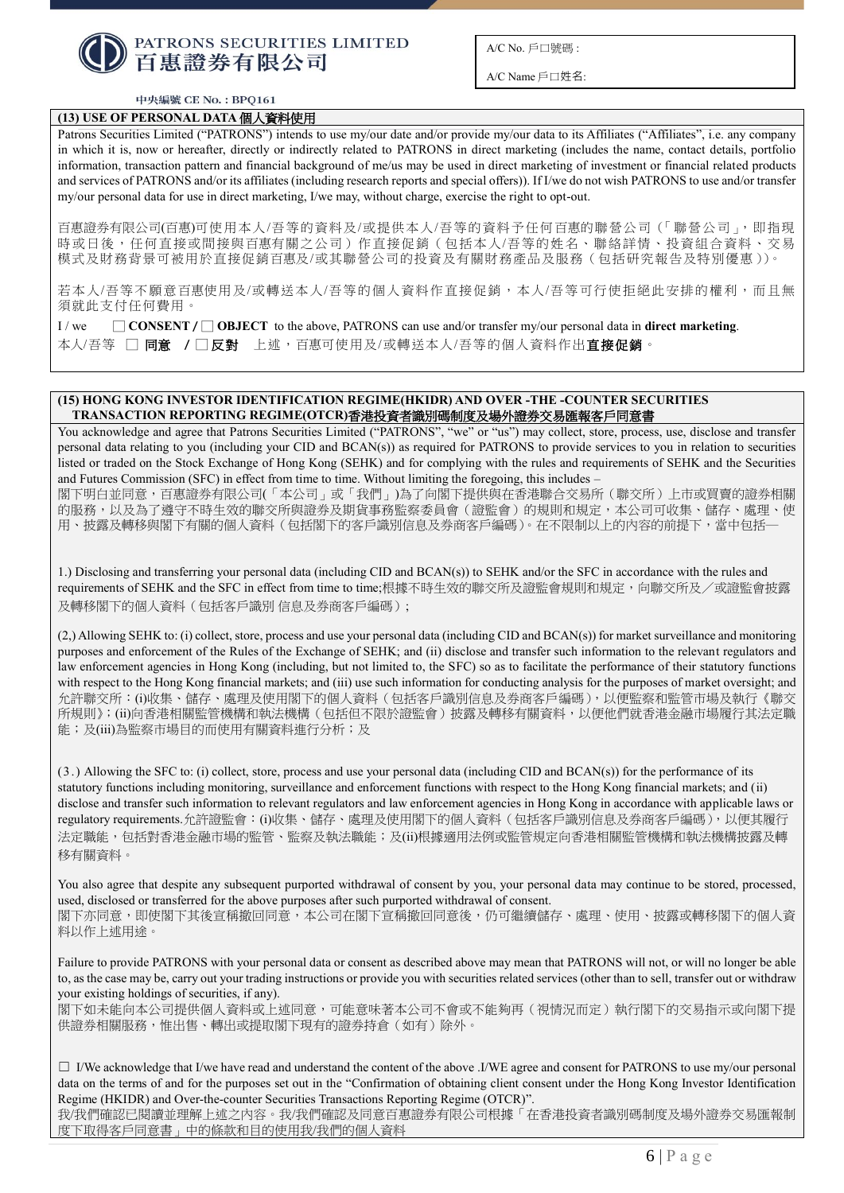

A/C Name 戶口姓名:

#### 中央編號 CE No.: BPQ161

# **(13) USE OF PERSONAL DATA** 個人資料使用

Patrons Securities Limited ("PATRONS") intends to use my/our date and/or provide my/our data to its Affiliates ("Affiliates", i.e. any company in which it is, now or hereafter, directly or indirectly related to PATRONS in direct marketing (includes the name, contact details, portfolio information, transaction pattern and financial background of me/us may be used in direct marketing of investment or financial related products and services of PATRONS and/or its affiliates (including research reports and special offers)). If I/we do not wish PATRONS to use and/or transfer my/our personal data for use in direct marketing, I/we may, without charge, exercise the right to opt-out.

百惠證券有限公司(百惠)可使用本人/吾等的資料及/或提供本人/吾等的資料予任何百惠的聯營公司(「聯營公司」,即指現 時或日後,任何直接或間接與百惠有關之公司)作直接促銷(包括本人/吾等的姓名、聯絡詳情、投資組合資料、交易 模式及財務背景可被用於直接促銷百惠及/或其聯營公司的投資及有關財務產品及服務(包括研究報告及特別優惠))。

若本人/吾等不願意百惠使用及/或轉送本人/吾等的個人資料作直接促銷,本人/吾等可行使拒絕此安排的權利,而且無 須就此支付任何費用。

 $I/we$   $\Box$  **CONSENT**  $\Box$  **OBJECT** to the above, PATRONS can use and/or transfer my/our personal data in **direct marketing**. 本人/吾等 □ 同意 **/** □ 反對上述,百惠可使用及/或轉送本人/吾等的個人資料作出直接促銷。

## **(15) HONG KONG INVESTOR IDENTIFICATION REGIME(HKIDR) AND OVER -THE -COUNTER SECURITIES TRANSACTION REPORTING REGIME(OTCR)**香港投資者識別碼制度及場外證券交易匯報客戶同意書

You acknowledge and agree that Patrons Securities Limited ("PATRONS", "we" or "us") may collect, store, process, use, disclose and transfer personal data relating to you (including your CID and BCAN(s)) as required for PATRONS to provide services to you in relation to securities listed or traded on the Stock Exchange of Hong Kong (SEHK) and for complying with the rules and requirements of SEHK and the Securities and Futures Commission (SFC) in effect from time to time. Without limiting the foregoing, this includes –

閣下明白並同意,百惠證券有限公司(「本公司」或「我們」)為了向閣下提供與在香港聯合交易所(聯交所)上市或買賣的證券相關 的服務,以及為了遵守不時生效的聯交所與證券及期貨事務監察委員會(證監會)的規則和規定,本公司可收集、儲存、處理、使 用、披露及轉移與閣下有關的個人資料(包括閣下的客戶識別信息及券商客戶編碼)。在不限制以上的內容的前提下,當中包括―

1.) Disclosing and transferring your personal data (including CID and BCAN(s)) to SEHK and/or the SFC in accordance with the rules and requirements of SEHK and the SFC in effect from time to time;根據不時牛效的聯交所及證監會規則和規定,向聯交所及/或證監會披露 及轉移閣下的個人資料(包括客戶識別 信息及券商客戶編碼);

(2,) Allowing SEHK to: (i) collect, store, process and use your personal data (including CID and BCAN(s)) for market surveillance and monitoring purposes and enforcement of the Rules of the Exchange of SEHK; and (ii) disclose and transfer such information to the relevant regulators and law enforcement agencies in Hong Kong (including, but not limited to, the SFC) so as to facilitate the performance of their statutory functions with respect to the Hong Kong financial markets; and (iii) use such information for conducting analysis for the purposes of market oversight; and 允許聯交所:(i)收集、儲存、處理及使用閣下的個人資料(包括客戶識別信息及券商客戶編碼),以便監察和監管市場及執行《聯交 所規則》;(ii)向香港相關監管機構和執法機構(包括但不限於證監會)披露及轉移有關資料,以便他們就香港金融市場履行其法定職 能;及(iii)為監察市場目的而使用有關資料進行分析;及

(3.) Allowing the SFC to: (i) collect, store, process and use your personal data (including CID and BCAN(s)) for the performance of its statutory functions including monitoring, surveillance and enforcement functions with respect to the Hong Kong financial markets; and (ii) disclose and transfer such information to relevant regulators and law enforcement agencies in Hong Kong in accordance with applicable laws or regulatory requirements.允許證監會:(i)收集、儲存、處理及使用閣下的個人資料(包括客戶識別信息及券商客戶編碼),以便其履行 法定職能,包括對香港金融市場的監管、監察及執法職能;及(ii)根據適用法例或監管規定向香港相關監管機構和執法機構披露及轉 移有關資料。

You also agree that despite any subsequent purported withdrawal of consent by you, your personal data may continue to be stored, processed, used, disclosed or transferred for the above purposes after such purported withdrawal of consent. 閣下亦同意,即使閣下其後宣稱撤回同意,本公司在閣下宣稱撤回同意後,仍可繼續儲存、處理、使用、披露或轉移閣下的個人資 料以作上述用途。

Failure to provide PATRONS with your personal data or consent as described above may mean that PATRONS will not, or will no longer be able to, as the case may be, carry out your trading instructions or provide you with securities related services (other than to sell, transfer out or withdraw your existing holdings of securities, if any).

閣下如未能向本公司提供個人資料或上述同意,可能意味著本公司不會或不能夠再(視情況而定)執行閣下的交易指示或向閣下提 供證券相關服務,惟出售、轉出或提取閣下現有的證券持倉(如有)除外。

□ I/We acknowledge that I/we have read and understand the content of the above .I/WE agree and consent for PATRONS to use my/our personal data on the terms of and for the purposes set out in the "Confirmation of obtaining client consent under the Hong Kong Investor Identification Regime (HKIDR) and Over-the-counter Securities Transactions Reporting Regime (OTCR)".

我/我們確認已閱讀並理解上述之內容。我/我們確認及同意百惠證券有限公司根據「在香港投資者識別碼制度及場外證券交易匯報制 度下取得客戶同意書」中的條款和目的使用我/我們的個人資料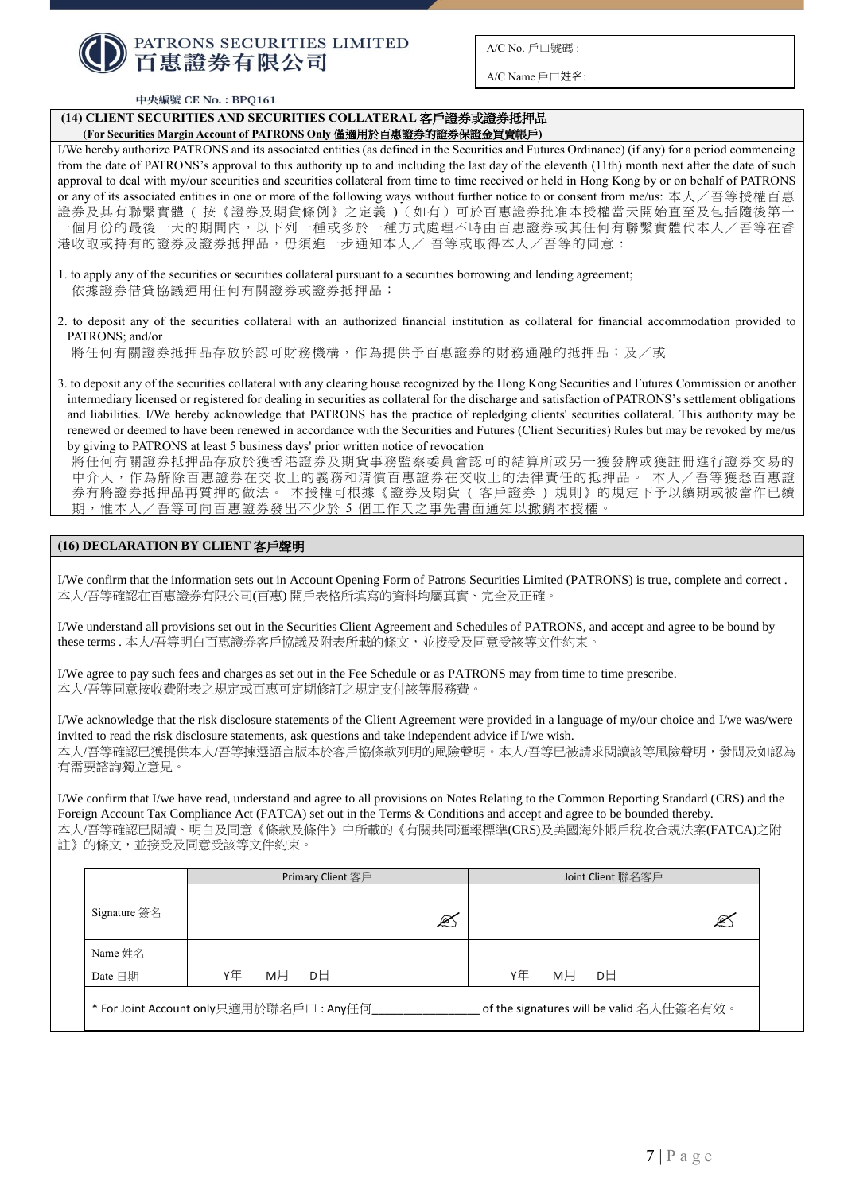

 $A/C$  Name 戶口姓名:

#### 中央編號 CE No.: BPQ161

# **(14) CLIENT SECURITIES AND SECURITIES COLLATERAL** 客戶證券或證券抵押品

(**For Securities Margin Account of PATRONS Only** 僅適用於百惠證券的證券保證金買賣帳戶**)**

I/We hereby authorize PATRONS and its associated entities (as defined in the Securities and Futures Ordinance) (if any) for a period commencing from the date of PATRONS's approval to this authority up to and including the last day of the eleventh (11th) month next after the date of such approval to deal with my/our securities and securities collateral from time to time received or held in Hong Kong by or on behalf of PATRONS or any of its associated entities in one or more of the following ways without further notice to or consent from me/us: 本人/吾等授權百惠 證券及其有聯繫實體 ( 按《證券及期貨條例》之定義 )(如有)可於百惠證券批准本授權當天開始直至及包括隨後第十 一個月份的最後一天的期間內,以下列一種或多於一種方式處理不時由百惠證券或其任何有聯繫實體代本人/吾等在香 港收取或持有的證券及證券抵押品,毋須進一步通知本人/ 吾等或取得本人/吾等的同意 :

- 1. to apply any of the securities or securities collateral pursuant to a securities borrowing and lending agreement; 依據證券借貸協議運用任何有關證券或證券抵押品;
- 2. to deposit any of the securities collateral with an authorized financial institution as collateral for financial accommodation provided to PATRONS; and/or

將任何有關證券抵押品存放於認可財務機構,作為提供予百惠證券的財務通融的抵押品;及/或

3. to deposit any of the securities collateral with any clearing house recognized by the Hong Kong Securities and Futures Commission or another intermediary licensed or registered for dealing in securities as collateral for the discharge and satisfaction of PATRONS's settlement obligations and liabilities. I/We hereby acknowledge that PATRONS has the practice of repledging clients' securities collateral. This authority may be renewed or deemed to have been renewed in accordance with the Securities and Futures (Client Securities) Rules but may be revoked by me/us by giving to PATRONS at least 5 business days' prior written notice of revocation

將任何有關證券抵押品存放於獲香港證券及期貨事務監察委員會認可的結算所或另一獲發牌或獲註冊進行證券交易的 中介人,作為解除百惠證券在交收上的義務和清償百惠證券在交收上的法律責任的抵押品。 本人/吾等獲悉百惠證 券有將證券抵押品再質押的做法。 本授權可根據《證券及期貨 ( 客戶證券 ) 規則》的規定下予以續期或被當作已續 期,惟本人/吾等可向百惠證券發出不少於 5 個工作天之事先書面通知以撤銷本授權。

# **(16) DECLARATION BY CLIENT** 客戶聲明

I/We confirm that the information sets out in Account Opening Form of Patrons Securities Limited (PATRONS) is true, complete and correct . 本人/吾等確認在百惠證券有限公司(百惠) 開戶表格所填寫的資料均屬真實、完全及正確。

I/We understand all provisions set out in the Securities Client Agreement and Schedules of PATRONS, and accept and agree to be bound by these terms . 本人/吾等明白百惠證券客戶協議及附表所載的條文,並接受及同意受該等文件約束。

I/We agree to pay such fees and charges as set out in the Fee Schedule or as PATRONS may from time to time prescribe. 本人/吾等同意按收費附表之規定或百惠可定期修訂之規定支付該等服務費。

I/We acknowledge that the risk disclosure statements of the Client Agreement were provided in a language of my/our choice and I/we was/were invited to read the risk disclosure statements, ask questions and take independent advice if I/we wish. 本人/吾等確認已獲提供本人/吾等揀選語言版本於客戶協條款列明的風險聲明。本人/吾等已被請求閱讀該等風險聲明,發問及如認為 有需要諮詢獨立意見。

I/We confirm that I/we have read, understand and agree to all provisions on Notes Relating to the Common Reporting Standard (CRS) and the Foreign Account Tax Compliance Act (FATCA) set out in the Terms & Conditions and accept and agree to be bounded thereby. 本人/吾等確認已閲讀、明白及同意《條款及條件》中所載的《有關共同滙報標準(CRS)及美國海外帳戶稅收合規法案(FATCA)之附 註》的條文,並接受及同意受該等文件約束。

|                                          | Primary Client 客戶                       | Joint Client 聯名客戶                        |
|------------------------------------------|-----------------------------------------|------------------------------------------|
| Signature $\frac{25}{26}$ $\frac{2}{16}$ |                                         | €<br>ⅇ                                   |
| Name 姓名                                  |                                         |                                          |
| Date 日期                                  | мĦ<br>Υ⁄Ξ<br>DЕ                         | Υ⁄Ξ<br>мĦ<br>DЕ                          |
|                                          | * For Joint Account only只適用於聯名戶口: Any任何 | of the signatures will be valid 名人仕簽名有效。 |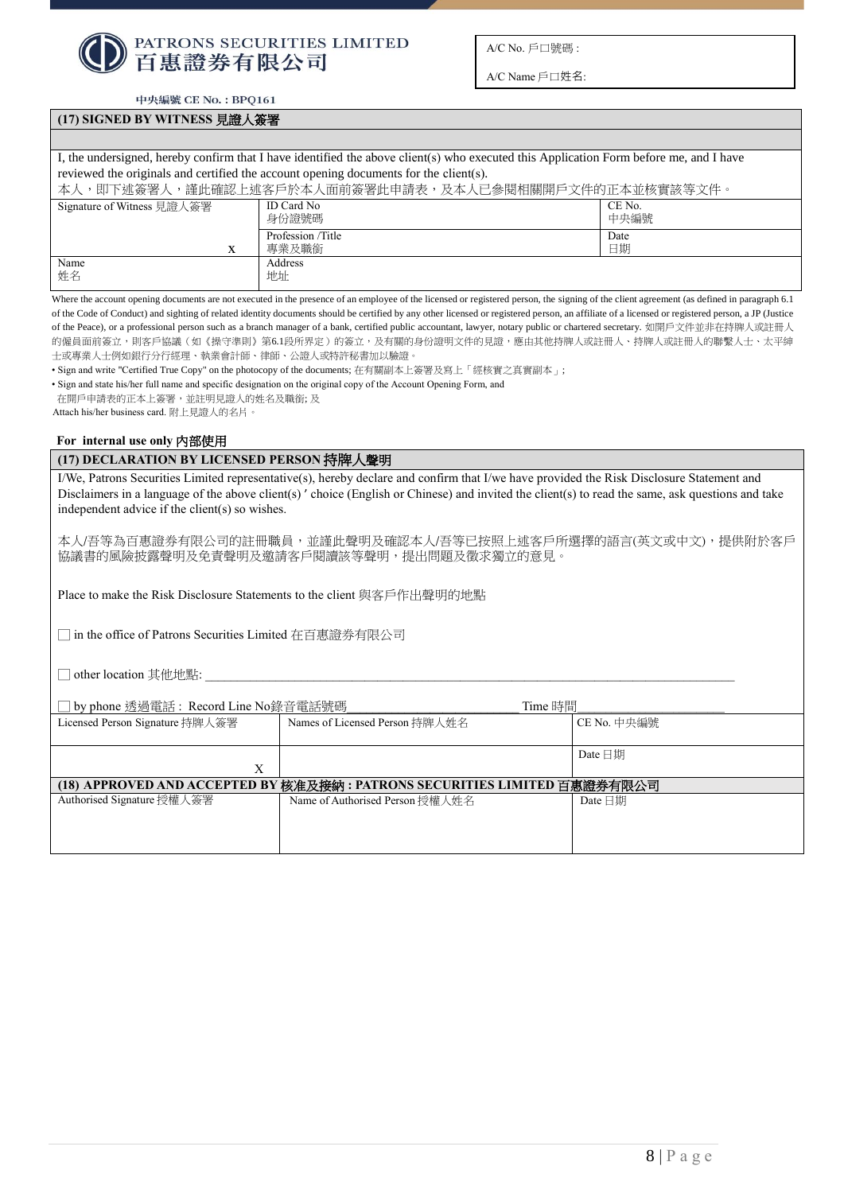

A/C Name 戶口姓名:

中央編號 CE No.: BPQ161

## **(17) SIGNED BY WITNESS** 見證人簽署

I, the undersigned, hereby confirm that I have identified the above client(s) who executed this Application Form before me, and I have reviewed the originals and certified the account opening documents for the client(s).

| .,謹此確認上述客戶於本人面前簽署此申請表,及本人已參閱相關開戶文件的正本並核實該等文件。<br>本人<br>、、即下述簽署人 |                           |                |  |  |
|-----------------------------------------------------------------|---------------------------|----------------|--|--|
| Signature of Witness 見證人簽署                                      | ID Card No<br>身份證號碼       | CE No.<br>中央編號 |  |  |
|                                                                 | Profession Title<br>專業及職銜 | Date<br>日期     |  |  |
| Name<br>姓名                                                      | Address<br>地址             |                |  |  |

Where the account opening documents are not executed in the presence of an employee of the licensed or registered person, the signing of the client agreement (as defined in paragraph 6.1 of the Code of Conduct) and sighting of related identity documents should be certified by any other licensed or registered person, an affiliate of a licensed or registered person, a JP (Justice of the Peace), or a professional person such as a branch manager of a bank, certified public accountant, lawyer, notary public or chartered secretary. 如開戶文件並非在持牌人或註冊人 的僱員面前簽立,則客戶協議(如《操守準則》第6.1段所界定)的簽立,及有關的身份證明文件的見證,應由其他持牌人或註冊人、持牌人或註冊人的聯繫人士、太平紳 士或專業人士例如銀行分行經理、執業會計師、律師、公證人或特許秘書加以驗證。

• Sign and write "Certified True Copy" on the photocopy of the documents; 在有關副本上簽署及寫上「經核實之真實副本」;

• Sign and state his/her full name and specific designation on the original copy of the Account Opening Form, and

在開戶申請表的正本上簽署,並註明見證人的姓名及職銜; 及

• Attach his/her business card. 附上見證人的名片。

#### **For internal use only** 內部使用

## **(17) DECLARATION BY LICENSED PERSON** 持牌人聲明

I/We, Patrons Securities Limited representative(s), hereby declare and confirm that I/we have provided the Risk Disclosure Statement and Disclaimers in a language of the above client(s) ' choice (English or Chinese) and invited the client(s) to read the same, ask questions and take independent advice if the client(s) so wishes.

本人/吾等為百惠證券有限公司的註冊職員,並謹此聲明及確認本人/吾等已按照上述客戶所選擇的語言(英文或中文),提供附於客戶 協議書的風險披露聲明及免責聲明及邀請客戶閱讀該等聲明,提出問題及徵求獨立的意見。

Place to make the Risk Disclosure Statements to the client 與客戶作出聲明的地點

□ in the office of Patrons Securities Limited 在百惠證券有限公司

 $\Box$  other location 其他地點:

| by phone 透過電話: Record Line No錄音電話號碼                                      | Time 時間                         |               |  |  |
|--------------------------------------------------------------------------|---------------------------------|---------------|--|--|
| Licensed Person Signature 持牌人簽署                                          | Names of Licensed Person 持牌人姓名  | CE No. 中央編號   |  |  |
|                                                                          |                                 | Date $\Box$ 期 |  |  |
| Х                                                                        |                                 |               |  |  |
| (18) APPROVED AND ACCEPTED BY 核准及接納: PATRONS SECURITIES LIMITED 百惠證券有限公司 |                                 |               |  |  |
| Authorised Signature 授權人簽署                                               | Name of Authorised Person 授權人姓名 | Date $\Box$   |  |  |
|                                                                          |                                 |               |  |  |
|                                                                          |                                 |               |  |  |
|                                                                          |                                 |               |  |  |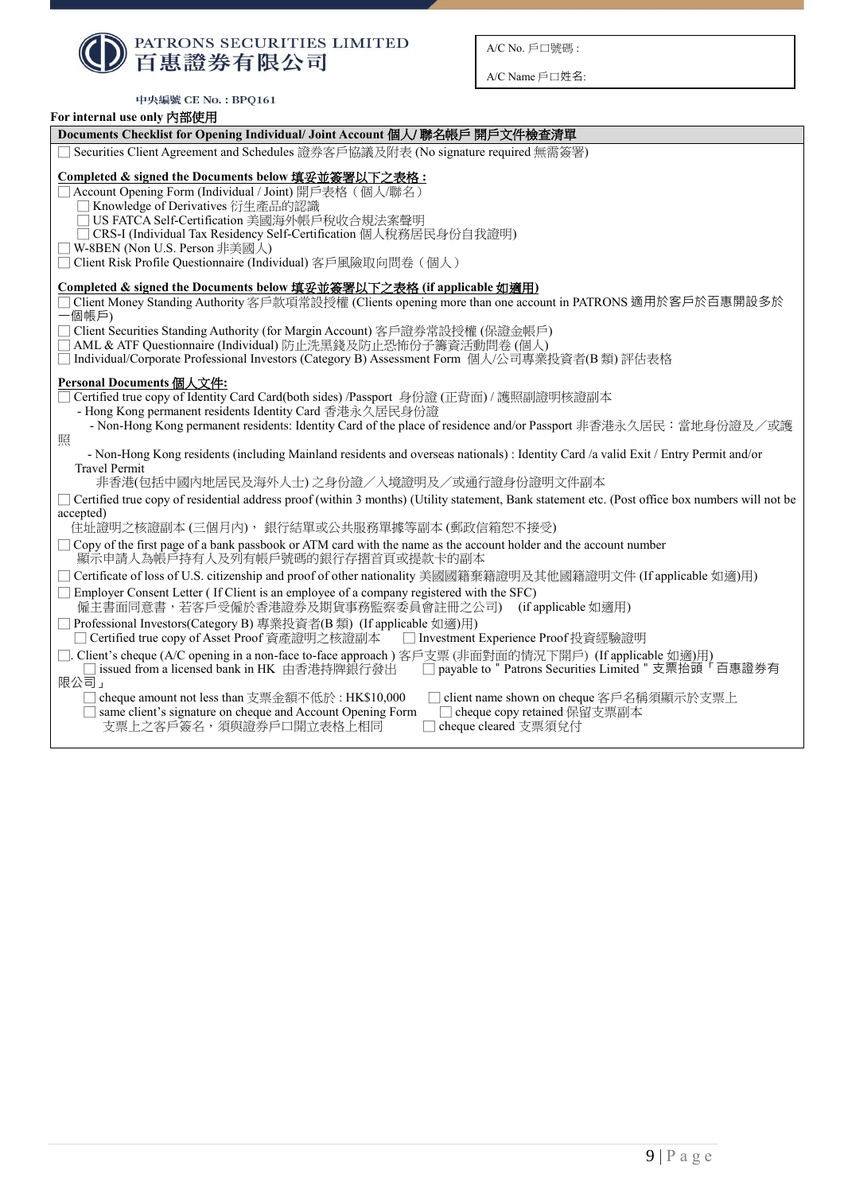| <b>● PATRONS SECURITIES LIMITED</b> |
|-------------------------------------|

中央編號 CE No.: BPQ161

A/C No. 戶口號碼 :

A/C Name 戶口姓名:

| For internal use only 內部使用                                                                                                                                                                                                                                                                                                                                              |  |  |  |  |  |
|-------------------------------------------------------------------------------------------------------------------------------------------------------------------------------------------------------------------------------------------------------------------------------------------------------------------------------------------------------------------------|--|--|--|--|--|
| Documents Checklist for Opening Individual/ Joint Account 個人/聯名帳戶 開戶文件檢查清單                                                                                                                                                                                                                                                                                              |  |  |  |  |  |
| Securities Client Agreement and Schedules 證券客戶協議及附表 (No signature required 無需簽署)                                                                                                                                                                                                                                                                                        |  |  |  |  |  |
| Completed & signed the Documents below 填妥並簽署以下之表格:<br>Account Opening Form (Individual / Joint) 開戶表格 (個人/聯名)<br>Knowledge of Derivatives 衍生產品的認識<br>US FATCA Self-Certification 美國海外帳戶稅收合規法案聲明<br>CRS-I (Individual Tax Residency Self-Certification 個人稅務居民身份自我證明)<br>] W-8BEN (Non U.S. Person 非美國人)<br>□ Client Risk Profile Questionnaire (Individual) 客戶風險取向問卷 (個人) |  |  |  |  |  |
| Completed & signed the Documents below 填妥並簽署以下之表格 (if applicable 如適用)                                                                                                                                                                                                                                                                                                   |  |  |  |  |  |
| Client Money Standing Authority 客戶款項常設授權 (Clients opening more than one account in PATRONS 適用於客戶於百惠開設多於<br>一個帳戶)                                                                                                                                                                                                                                                        |  |  |  |  |  |
| □ Client Securities Standing Authority (for Margin Account) 客戶證券常設授權 (保證金帳戶)                                                                                                                                                                                                                                                                                            |  |  |  |  |  |
| AML & ATF Questionnaire (Individual) 防止洗黑錢及防止恐怖份子籌資活動問卷 (個人)<br>Individual/Corporate Professional Investors (Category B) Assessment Form 個人/公司專業投資者(B類)評估表格                                                                                                                                                                                                             |  |  |  |  |  |
|                                                                                                                                                                                                                                                                                                                                                                         |  |  |  |  |  |
| Personal Documents 個人文件:<br>] Certified true copy of Identity Card Card(both sides) /Passport 身份證 (正背面) / 護照副證明核證副本<br>- Hong Kong permanent residents Identity Card 香港永久居民身份證<br>- Non-Hong Kong permanent residents: Identity Card of the place of residence and/or Passport 非香港永久居民:當地身份證及/或護                                                                        |  |  |  |  |  |
| 照                                                                                                                                                                                                                                                                                                                                                                       |  |  |  |  |  |
| - Non-Hong Kong residents (including Mainland residents and overseas nationals) : Identity Card /a valid Exit / Entry Permit and/or<br><b>Travel Permit</b>                                                                                                                                                                                                             |  |  |  |  |  |
| 非香港(包括中國內地居民及海外人士)之身份證/入境證明及/或通行證身份證明文件副本                                                                                                                                                                                                                                                                                                                               |  |  |  |  |  |
| □ Certified true copy of residential address proof (within 3 months) (Utility statement, Bank statement etc. (Post office box numbers will not be                                                                                                                                                                                                                       |  |  |  |  |  |
| accepted)<br>住址證明之核證副本(三個月內),銀行結單或公共服務單據等副本(郵政信箱恕不接受)                                                                                                                                                                                                                                                                                                                   |  |  |  |  |  |
| Copy of the first page of a bank passbook or ATM card with the name as the account holder and the account number<br>顯示申請人為帳戶持有人及列有帳戶號碼的銀行存摺首頁或提款卡的副本                                                                                                                                                                                                                    |  |  |  |  |  |
| □ Certificate of loss of U.S. citizenship and proof of other nationality 美國國籍棄籍證明及其他國籍證明文件 (If applicable 如適)用)                                                                                                                                                                                                                                                         |  |  |  |  |  |
| Employer Consent Letter (If Client is an employee of a company registered with the SFC)<br>僱主書面同意書,若客戶受僱於香港證券及期貨事務監察委員會註冊之公司)<br>(if applicable 如適用)                                                                                                                                                                                                                    |  |  |  |  |  |
| Professional Investors(Category B) 專業投資者(B類) (If applicable 如適)用)<br>□ Certified true copy of Asset Proof 資產證明之核證副本<br>□ Investment Experience Proof 投資經驗證明                                                                                                                                                                                                             |  |  |  |  |  |
| □. Client's cheque (A/C opening in a non-face to-face approach) 客戶支票 (非面對面的情況下開戶) (If applicable 如適)用)<br>issued from a licensed bank in HK 由香港持牌銀行發出 □ payable to " Patrons Securities Limited " 支票抬頭「百惠證券有<br>限公司」                                                                                                                                                    |  |  |  |  |  |
| cheque amount not less than 支票金額不低於: HK\$10,000<br>client name shown on cheque 客戶名稱須顯示於支票上<br>same client's signature on cheque and Account Opening Form<br>cheque copy retained 保留支票副本<br>支票上之客戶簽名,須與證券戶口開立表格上相同<br>cheque cleared 支票須兌付                                                                                                                               |  |  |  |  |  |